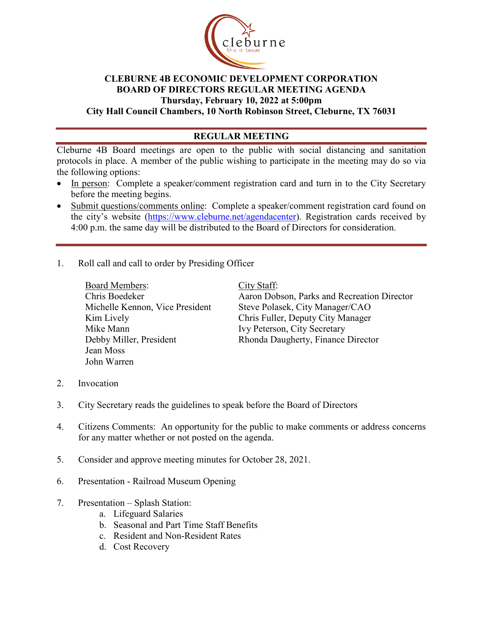

## **CLEBURNE 4B ECONOMIC DEVELOPMENT CORPORATION BOARD OF DIRECTORS REGULAR MEETING AGENDA Thursday, February 10, 2022 at 5:00pm City Hall Council Chambers, 10 North Robinson Street, Cleburne, TX 76031**

## **REGULAR MEETING**

Cleburne 4B Board meetings are open to the public with social distancing and sanitation protocols in place. A member of the public wishing to participate in the meeting may do so via the following options:

- In person: Complete a speaker/comment registration card and turn in to the City Secretary before the meeting begins.
- Submit questions/comments online: Complete a speaker/comment registration card found on the city's website [\(https://www.cleburne.net/agendacenter\)](https://www.cleburne.net/agendacenter). Registration cards received by 4:00 p.m. the same day will be distributed to the Board of Directors for consideration.
- 1. Roll call and call to order by Presiding Officer

Board Members: Chris Boedeker Michelle Kennon, Vice President Kim Lively Mike Mann Debby Miller, President Jean Moss John Warren

City Staff:

Aaron Dobson, Parks and Recreation Director Steve Polasek, City Manager/CAO Chris Fuller, Deputy City Manager Ivy Peterson, City Secretary Rhonda Daugherty, Finance Director

- 2. Invocation
- 3. City Secretary reads the guidelines to speak before the Board of Directors
- 4. Citizens Comments: An opportunity for the public to make comments or address concerns for any matter whether or not posted on the agenda.
- 5. Consider and approve meeting minutes for October 28, 2021.
- 6. Presentation Railroad Museum Opening
- 7. Presentation Splash Station:
	- a. Lifeguard Salaries
	- b. Seasonal and Part Time Staff Benefits
	- c. Resident and Non-Resident Rates
	- d. Cost Recovery